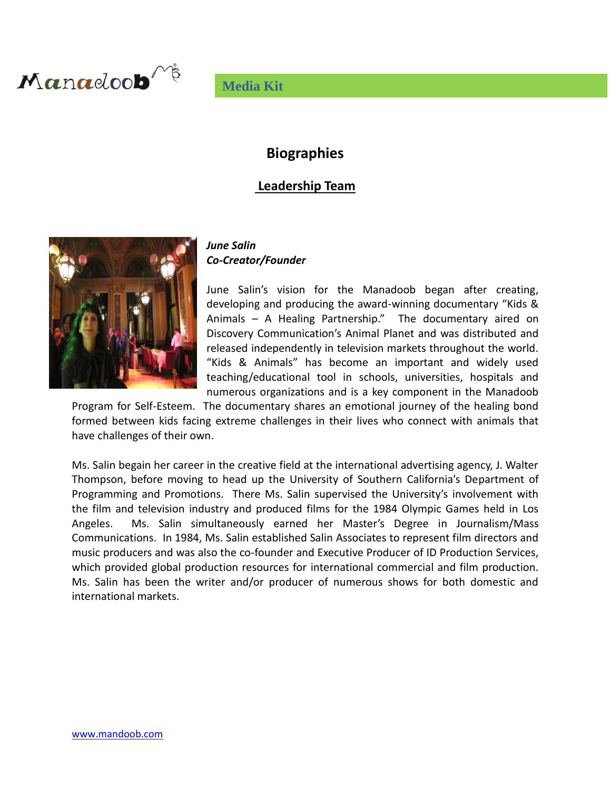

## **Media Kit**

## **Biographies**

### **Leadership Team**



### *June Salin Co-Creator/Founder*

June Salin's vision for the Manadoob began after creating, developing and producing the award-winning documentary "Kids & Animals – A Healing Partnership." The documentary aired on Discovery Communication's Animal Planet and was distributed and released independently in television markets throughout the world. "Kids & Animals" has become an important and widely used teaching/educational tool in schools, universities, hospitals and numerous organizations and is a key component in the Manadoob

Program for Self-Esteem. The documentary shares an emotional journey of the healing bond formed between kids facing extreme challenges in their lives who connect with animals that have challenges of their own.

Ms. Salin begain her career in the creative field at the international advertising agency, J. Walter Thompson, before moving to head up the University of Southern California's Department of Programming and Promotions. There Ms. Salin supervised the University's involvement with the film and television industry and produced films for the 1984 Olympic Games held in Los Angeles. Ms. Salin simultaneously earned her Master's Degree in Journalism/Mass Communications. In 1984, Ms. Salin established Salin Associates to represent film directors and music producers and was also the co-founder and Executive Producer of ID Production Services, which provided global production resources for international commercial and film production. Ms. Salin has been the writer and/or producer of numerous shows for both domestic and international markets.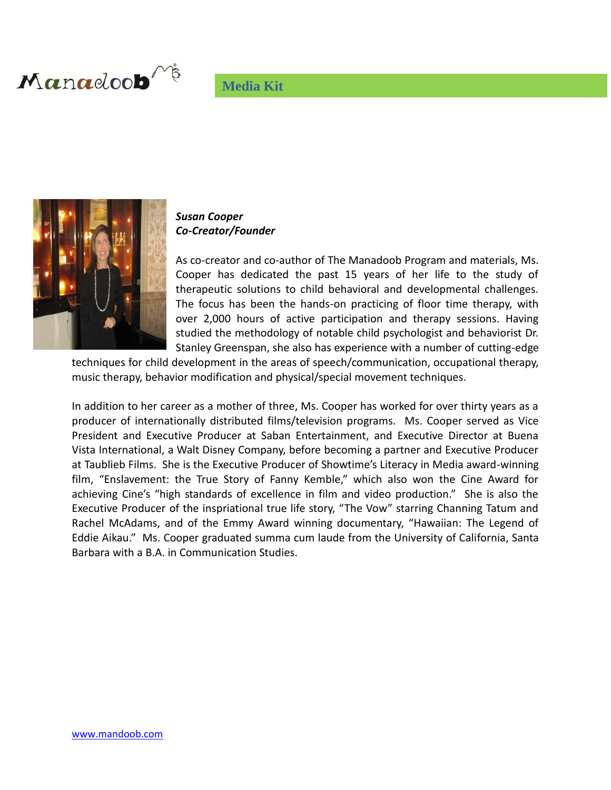# **Media Kit**





### *Susan Cooper Co-Creator/Founder*

As co-creator and co-author of The Manadoob Program and materials, Ms. Cooper has dedicated the past 15 years of her life to the study of therapeutic solutions to child behavioral and developmental challenges. The focus has been the hands-on practicing of floor time therapy, with over 2,000 hours of active participation and therapy sessions. Having studied the methodology of notable child psychologist and behaviorist Dr. Stanley Greenspan, she also has experience with a number of cutting-edge

techniques for child development in the areas of speech/communication, occupational therapy, music therapy, behavior modification and physical/special movement techniques.

In addition to her career as a mother of three, Ms. Cooper has worked for over thirty years as a producer of internationally distributed films/television programs. Ms. Cooper served as Vice President and Executive Producer at Saban Entertainment, and Executive Director at Buena Vista International, a Walt Disney Company, before becoming a partner and Executive Producer at Taublieb Films. She is the Executive Producer of Showtime's Literacy in Media award-winning film, "Enslavement: the True Story of Fanny Kemble," which also won the Cine Award for achieving Cine's "high standards of excellence in film and video production." She is also the Executive Producer of the inspriational true life story, "The Vow" starring Channing Tatum and Rachel McAdams, and of the Emmy Award winning documentary, "Hawaiian: The Legend of Eddie Aikau." Ms. Cooper graduated summa cum laude from the University of California, Santa Barbara with a B.A. in Communication Studies.